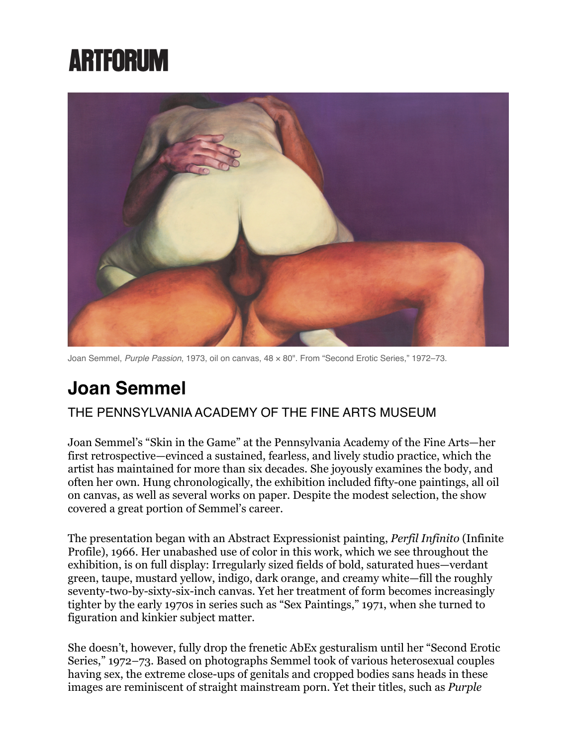## **ARTFORUM**



Joan Semmel, *Purple Passion*, 1973, oil on canvas, 48 × 80". From "Second Erotic Series," 1972–73.

## **Joan Semmel**

## THE PENNSYLVANIA ACADEMY OF THE FINE ARTS MUSEUM

Joan Semmel's "Skin in the Game" at the Pennsylvania Academy of the Fine Arts—her first retrospective—evinced a sustained, fearless, and lively studio practice, which the artist has maintained for more than six decades. She joyously examines the body, and often her own. Hung chronologically, the exhibition included fifty-one paintings, all oil on canvas, as well as several works on paper. Despite the modest selection, the show covered a great portion of Semmel's career.

The presentation began with an Abstract Expressionist painting, *Perfil Infinito* (Infinite Profile), 1966. Her unabashed use of color in this work, which we see throughout the exhibition, is on full display: Irregularly sized fields of bold, saturated hues—verdant green, taupe, mustard yellow, indigo, dark orange, and creamy white—fill the roughly seventy-two-by-sixty-six-inch canvas. Yet her treatment of form becomes increasingly tighter by the early 1970s in series such as "Sex Paintings," 1971, when she turned to figuration and kinkier subject matter.

She doesn't, however, fully drop the frenetic AbEx gesturalism until her "Second Erotic Series," 1972–73. Based on photographs Semmel took of various heterosexual couples having sex, the extreme close-ups of genitals and cropped bodies sans heads in these images are reminiscent of straight mainstream porn. Yet their titles, such as *Purple*